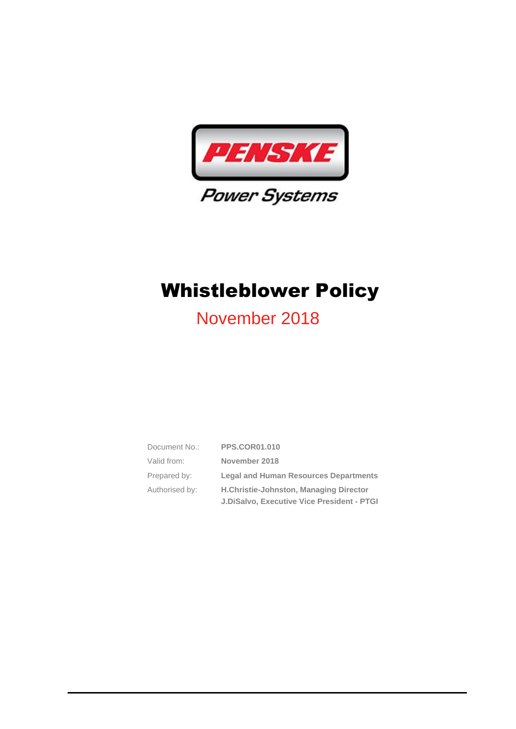

# November 2018

| Document No.:  | <b>PPS.COR01.010</b>                              |
|----------------|---------------------------------------------------|
| Valid from:    | November 2018                                     |
| Prepared by:   | <b>Legal and Human Resources Departments</b>      |
| Authorised by: | H.Christie-Johnston, Managing Director            |
|                | <b>J.DiSalvo, Executive Vice President - PTGI</b> |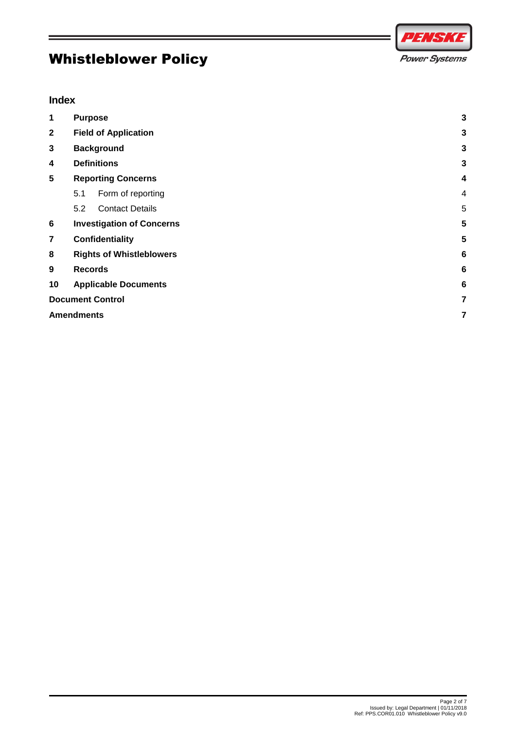# PENSK **Power Systems**

#### **Index**

| 1              | <b>Purpose</b>                   |   |
|----------------|----------------------------------|---|
| $\mathbf{2}$   | <b>Field of Application</b>      | 3 |
| 3              | <b>Background</b>                | 3 |
| 4              | <b>Definitions</b>               | 3 |
| 5              | <b>Reporting Concerns</b>        | 4 |
|                | 5.1<br>Form of reporting         | 4 |
|                | <b>Contact Details</b><br>5.2    | 5 |
| 6              | <b>Investigation of Concerns</b> |   |
| $\overline{7}$ | Confidentiality                  |   |
| 8              | <b>Rights of Whistleblowers</b>  |   |
| 9              | <b>Records</b>                   |   |
| 10             | <b>Applicable Documents</b>      |   |
|                | <b>Document Control</b>          |   |
|                | <b>Amendments</b>                |   |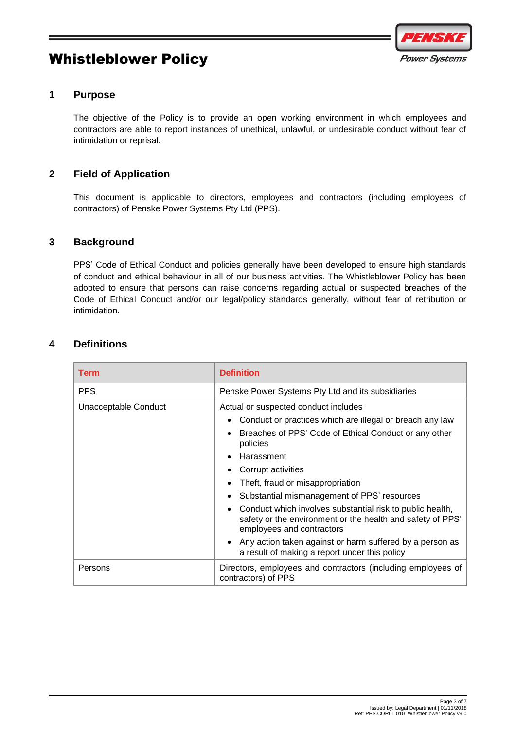

#### <span id="page-2-0"></span>**1 Purpose**

The objective of the Policy is to provide an open working environment in which employees and contractors are able to report instances of unethical, unlawful, or undesirable conduct without fear of intimidation or reprisal.

#### <span id="page-2-1"></span>**2 Field of Application**

This document is applicable to directors, employees and contractors (including employees of contractors) of Penske Power Systems Pty Ltd (PPS).

#### <span id="page-2-2"></span>**3 Background**

PPS' Code of Ethical Conduct and policies generally have been developed to ensure high standards of conduct and ethical behaviour in all of our business activities. The Whistleblower Policy has been adopted to ensure that persons can raise concerns regarding actual or suspected breaches of the Code of Ethical Conduct and/or our legal/policy standards generally, without fear of retribution or intimidation.

#### <span id="page-2-3"></span>**4 Definitions**

| <b>Term</b>          | <b>Definition</b>                                                                                                                                                                                                                                                                                                                                                                                                                                                                                                                                                                                                     |  |
|----------------------|-----------------------------------------------------------------------------------------------------------------------------------------------------------------------------------------------------------------------------------------------------------------------------------------------------------------------------------------------------------------------------------------------------------------------------------------------------------------------------------------------------------------------------------------------------------------------------------------------------------------------|--|
| <b>PPS</b>           | Penske Power Systems Pty Ltd and its subsidiaries                                                                                                                                                                                                                                                                                                                                                                                                                                                                                                                                                                     |  |
| Unacceptable Conduct | Actual or suspected conduct includes<br>Conduct or practices which are illegal or breach any law<br>$\bullet$<br>Breaches of PPS' Code of Ethical Conduct or any other<br>policies<br>Harassment<br>Corrupt activities<br>Theft, fraud or misappropriation<br>$\bullet$<br>Substantial mismanagement of PPS' resources<br>$\bullet$<br>Conduct which involves substantial risk to public health,<br>safety or the environment or the health and safety of PPS'<br>employees and contractors<br>Any action taken against or harm suffered by a person as<br>$\bullet$<br>a result of making a report under this policy |  |
| Persons              | Directors, employees and contractors (including employees of<br>contractors) of PPS                                                                                                                                                                                                                                                                                                                                                                                                                                                                                                                                   |  |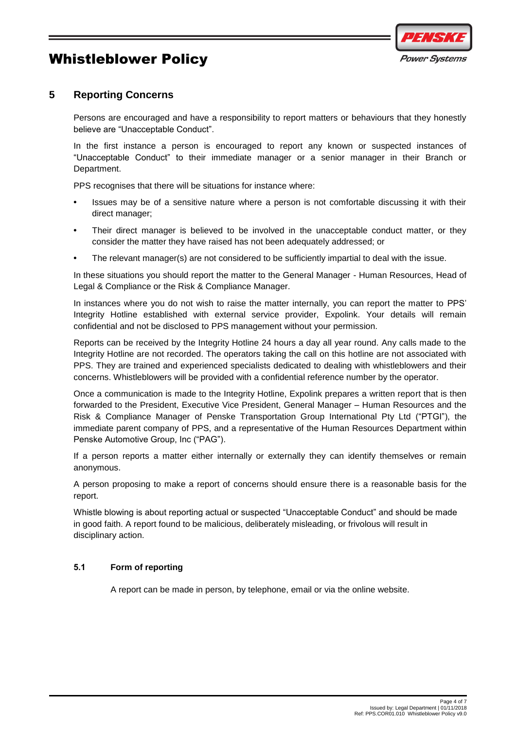

#### <span id="page-3-0"></span>**5 Reporting Concerns**

Persons are encouraged and have a responsibility to report matters or behaviours that they honestly believe are "Unacceptable Conduct".

In the first instance a person is encouraged to report any known or suspected instances of "Unacceptable Conduct" to their immediate manager or a senior manager in their Branch or Department.

PPS recognises that there will be situations for instance where:

- **•** Issues may be of a sensitive nature where a person is not comfortable discussing it with their direct manager;
- **•** Their direct manager is believed to be involved in the unacceptable conduct matter, or they consider the matter they have raised has not been adequately addressed; or
- **•** The relevant manager(s) are not considered to be sufficiently impartial to deal with the issue.

In these situations you should report the matter to the General Manager - Human Resources, Head of Legal & Compliance or the Risk & Compliance Manager.

In instances where you do not wish to raise the matter internally, you can report the matter to PPS' Integrity Hotline established with external service provider, Expolink. Your details will remain confidential and not be disclosed to PPS management without your permission.

Reports can be received by the Integrity Hotline 24 hours a day all year round. Any calls made to the Integrity Hotline are not recorded. The operators taking the call on this hotline are not associated with PPS. They are trained and experienced specialists dedicated to dealing with whistleblowers and their concerns. Whistleblowers will be provided with a confidential reference number by the operator.

Once a communication is made to the Integrity Hotline, Expolink prepares a written report that is then forwarded to the President, Executive Vice President, General Manager – Human Resources and the Risk & Compliance Manager of Penske Transportation Group International Pty Ltd ("PTGI"), the immediate parent company of PPS, and a representative of the Human Resources Department within Penske Automotive Group, Inc ("PAG").

If a person reports a matter either internally or externally they can identify themselves or remain anonymous.

A person proposing to make a report of concerns should ensure there is a reasonable basis for the report.

Whistle blowing is about reporting actual or suspected "Unacceptable Conduct" and should be made in good faith. A report found to be malicious, deliberately misleading, or frivolous will result in disciplinary action.

#### <span id="page-3-1"></span>**5.1 Form of reporting**

A report can be made in person, by telephone, email or via the online website.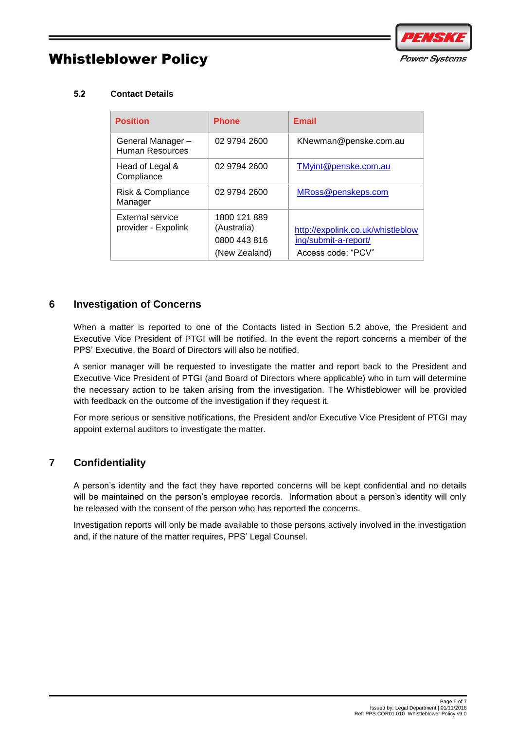

#### <span id="page-4-0"></span>**5.2 Contact Details**

| <b>Position</b>                         | <b>Phone</b>                                                 | <b>Email</b>                                                                    |
|-----------------------------------------|--------------------------------------------------------------|---------------------------------------------------------------------------------|
| General Manager-<br>Human Resources     | 02 9794 2600                                                 | KNewman@penske.com.au                                                           |
| Head of Legal &<br>Compliance           | 02 9794 2600                                                 | TMyint@penske.com.au                                                            |
| Risk & Compliance<br>Manager            | 02 9794 2600                                                 | MRoss@penskeps.com                                                              |
| External service<br>provider - Expolink | 1800 121 889<br>(Australia)<br>0800 443 816<br>(New Zealand) | http://expolink.co.uk/whistleblow<br>ing/submit-a-report/<br>Access code: "PCV" |

#### <span id="page-4-1"></span>**6 Investigation of Concerns**

When a matter is reported to one of the Contacts listed in Section 5.2 above, the President and Executive Vice President of PTGI will be notified. In the event the report concerns a member of the PPS' Executive, the Board of Directors will also be notified.

A senior manager will be requested to investigate the matter and report back to the President and Executive Vice President of PTGI (and Board of Directors where applicable) who in turn will determine the necessary action to be taken arising from the investigation. The Whistleblower will be provided with feedback on the outcome of the investigation if they request it.

For more serious or sensitive notifications, the President and/or Executive Vice President of PTGI may appoint external auditors to investigate the matter.

#### <span id="page-4-2"></span>**7 Confidentiality**

A person's identity and the fact they have reported concerns will be kept confidential and no details will be maintained on the person's employee records. Information about a person's identity will only be released with the consent of the person who has reported the concerns.

Investigation reports will only be made available to those persons actively involved in the investigation and, if the nature of the matter requires, PPS' Legal Counsel.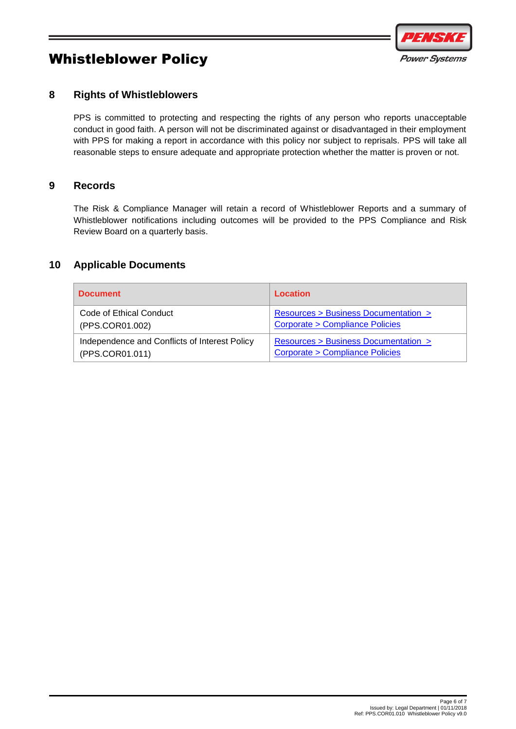

#### <span id="page-5-0"></span>**8 Rights of Whistleblowers**

PPS is committed to protecting and respecting the rights of any person who reports unacceptable conduct in good faith. A person will not be discriminated against or disadvantaged in their employment with PPS for making a report in accordance with this policy nor subject to reprisals. PPS will take all reasonable steps to ensure adequate and appropriate protection whether the matter is proven or not.

#### <span id="page-5-1"></span>**9 Records**

The Risk & Compliance Manager will retain a record of Whistleblower Reports and a summary of Whistleblower notifications including outcomes will be provided to the PPS Compliance and Risk Review Board on a quarterly basis.

#### <span id="page-5-2"></span>**10 Applicable Documents**

| <b>Document</b>                               | Location                                  |
|-----------------------------------------------|-------------------------------------------|
| Code of Ethical Conduct                       | Resources > Business Documentation >      |
| (PPS.COR01.002)                               | <b>Corporate &gt; Compliance Policies</b> |
| Independence and Conflicts of Interest Policy | Resources > Business Documentation >      |
| (PPS.COR01.011)                               | Corporate > Compliance Policies           |